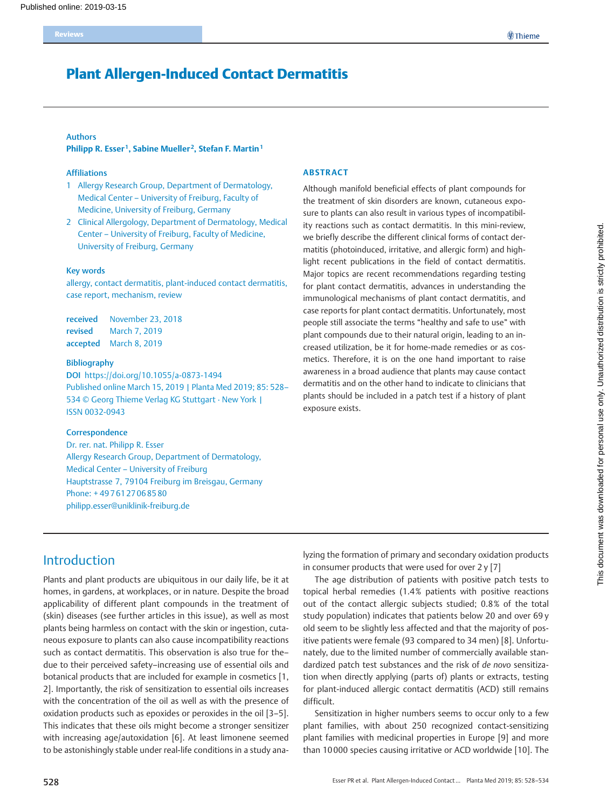# Plant Allergen-Induced Contact Dermatitis

### Authors

Philipp R. Esser<sup>1</sup>, Sabine Mueller<sup>2</sup>, Stefan F. Martin<sup>1</sup>

#### Affiliations

- 1 Allergy Research Group, Department of Dermatology, Medical Center – University of Freiburg, Faculty of Medicine, University of Freiburg, Germany
- 2 Clinical Allergology, Department of Dermatology, Medical Center – University of Freiburg, Faculty of Medicine, University of Freiburg, Germany

### Key words

allergy, contact dermatitis, plant‑induced contact dermatitis, case report, mechanism, review

received November 23, 2018 revised March 7, 2019 accepted March 8, 2019

#### Bibliography

DOI https://doi.org/10.1055/a-0873-1494 Published online March 15, 2019 | Planta Med 2019; 85: 528– 534 © Georg Thieme Verlag KG Stuttgart · New York | ISSN 0032‑0943

#### **Correspondence**

Dr. rer. nat. Philipp R. Esser Allergy Research Group, Department of Dermatology, Medical Center – University of Freiburg Hauptstrasse 7, 79104 Freiburg im Breisgau, Germany Phone: + 49 7 61 27 06 85 80 philipp.esser@uniklinik-freiburg.de

### ABSTRACT

Although manifold beneficial effects of plant compounds for the treatment of skin disorders are known, cutaneous exposure to plants can also result in various types of incompatibility reactions such as contact dermatitis. In this mini-review, we briefly describe the different clinical forms of contact dermatitis (photoinduced, irritative, and allergic form) and highlight recent publications in the field of contact dermatitis. Major topics are recent recommendations regarding testing for plant contact dermatitis, advances in understanding the immunological mechanisms of plant contact dermatitis, and case reports for plant contact dermatitis. Unfortunately, most people still associate the terms "healthy and safe to use" with plant compounds due to their natural origin, leading to an increased utilization, be it for home-made remedies or as cosmetics. Therefore, it is on the one hand important to raise awareness in a broad audience that plants may cause contact dermatitis and on the other hand to indicate to clinicians that plants should be included in a patch test if a history of plant exposure exists.

## **Introduction**

Plants and plant products are ubiquitous in our daily life, be it at homes, in gardens, at workplaces, or in nature. Despite the broad applicability of different plant compounds in the treatment of (skin) diseases (see further articles in this issue), as well as most plants being harmless on contact with the skin or ingestion, cutaneous exposure to plants can also cause incompatibility reactions such as contact dermatitis. This observation is also true for the– due to their perceived safety–increasing use of essential oils and botanical products that are included for example in cosmetics [1, 2]. Importantly, the risk of sensitization to essential oils increases with the concentration of the oil as well as with the presence of oxidation products such as epoxides or peroxides in the oil [3–5]. This indicates that these oils might become a stronger sensitizer with increasing age/autoxidation [6]. At least limonene seemed to be astonishingly stable under real-life conditions in a study analyzing the formation of primary and secondary oxidation products in consumer products that were used for over 2 y [7]

The age distribution of patients with positive patch tests to topical herbal remedies (1.4% patients with positive reactions out of the contact allergic subjects studied; 0.8% of the total study population) indicates that patients below 20 and over 69 y old seem to be slightly less affected and that the majority of positive patients were female (93 compared to 34 men) [8]. Unfortunately, due to the limited number of commercially available standardized patch test substances and the risk of de novo sensitization when directly applying (parts of) plants or extracts, testing for plant-induced allergic contact dermatitis (ACD) still remains difficult.

Sensitization in higher numbers seems to occur only to a few plant families, with about 250 recognized contact-sensitizing plant families with medicinal properties in Europe [9] and more than 10 000 species causing irritative or ACD worldwide [10]. The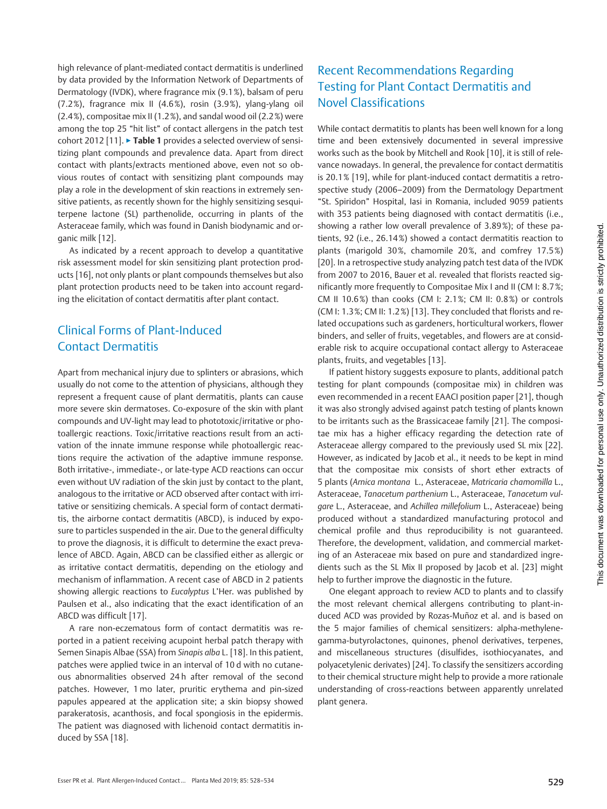high relevance of plant-mediated contact dermatitis is underlined by data provided by the Information Network of Departments of Dermatology (IVDK), where fragrance mix (9.1%), balsam of peru (7.2%), fragrance mix II (4.6%), rosin (3.9%), ylang-ylang oil (2.4%), compositae mix II (1.2%), and sandal wood oil (2.2%) were among the top 25 "hit list" of contact allergens in the patch test cohort 2012 [11]. ► Table 1 provides a selected overview of sensitizing plant compounds and prevalence data. Apart from direct contact with plants/extracts mentioned above, even not so obvious routes of contact with sensitizing plant compounds may play a role in the development of skin reactions in extremely sensitive patients, as recently shown for the highly sensitizing sesquiterpene lactone (SL) parthenolide, occurring in plants of the Asteraceae family, which was found in Danish biodynamic and organic milk [12].

As indicated by a recent approach to develop a quantitative risk assessment model for skin sensitizing plant protection products [16], not only plants or plant compounds themselves but also plant protection products need to be taken into account regarding the elicitation of contact dermatitis after plant contact.

# Clinical Forms of Plant-Induced Contact Dermatitis

Apart from mechanical injury due to splinters or abrasions, which usually do not come to the attention of physicians, although they represent a frequent cause of plant dermatitis, plants can cause more severe skin dermatoses. Co-exposure of the skin with plant compounds and UV-light may lead to phototoxic/irritative or photoallergic reactions. Toxic/irritative reactions result from an activation of the innate immune response while photoallergic reactions require the activation of the adaptive immune response. Both irritative-, immediate-, or late-type ACD reactions can occur even without UV radiation of the skin just by contact to the plant, analogous to the irritative or ACD observed after contact with irritative or sensitizing chemicals. A special form of contact dermatitis, the airborne contact dermatitis (ABCD), is induced by exposure to particles suspended in the air. Due to the general difficulty to prove the diagnosis, it is difficult to determine the exact prevalence of ABCD. Again, ABCD can be classified either as allergic or as irritative contact dermatitis, depending on the etiology and mechanism of inflammation. A recent case of ABCD in 2 patients showing allergic reactions to Eucalyptus L'Her. was published by Paulsen et al., also indicating that the exact identification of an ABCD was difficult [17].

A rare non-eczematous form of contact dermatitis was reported in a patient receiving acupoint herbal patch therapy with Semen Sinapis Albae (SSA) from Sinapis alba L. [18]. In this patient, patches were applied twice in an interval of 10 d with no cutaneous abnormalities observed 24 h after removal of the second patches. However, 1 mo later, pruritic erythema and pin-sized papules appeared at the application site; a skin biopsy showed parakeratosis, acanthosis, and focal spongiosis in the epidermis. The patient was diagnosed with lichenoid contact dermatitis induced by SSA [18].

# Recent Recommendations Regarding Testing for Plant Contact Dermatitis and Novel Classifications

While contact dermatitis to plants has been well known for a long time and been extensively documented in several impressive works such as the book by Mitchell and Rook [10], it is still of relevance nowadays. In general, the prevalence for contact dermatitis is 20.1% [19], while for plant-induced contact dermatitis a retrospective study (2006–2009) from the Dermatology Department "St. Spiridon" Hospital, Iasi in Romania, included 9059 patients with 353 patients being diagnosed with contact dermatitis (i.e., showing a rather low overall prevalence of 3.89%); of these patients, 92 (i.e., 26.14%) showed a contact dermatitis reaction to plants (marigold 30%, chamomile 20%, and comfrey 17.5%) [20]. In a retrospective study analyzing patch test data of the IVDK from 2007 to 2016, Bauer et al. revealed that florists reacted significantly more frequently to Compositae Mix I and II (CM I: 8.7%; CM II 10.6%) than cooks (CM I: 2.1%; CM II: 0.8%) or controls (CM I: 1.3%; CM II: 1.2%) [13]. They concluded that florists and related occupations such as gardeners, horticultural workers, flower binders, and seller of fruits, vegetables, and flowers are at considerable risk to acquire occupational contact allergy to Asteraceae plants, fruits, and vegetables [13].

If patient history suggests exposure to plants, additional patch testing for plant compounds (compositae mix) in children was even recommended in a recent EAACI position paper [21], though it was also strongly advised against patch testing of plants known to be irritants such as the Brassicaceae family [21]. The compositae mix has a higher efficacy regarding the detection rate of Asteraceae allergy compared to the previously used SL mix [22]. However, as indicated by Jacob et al., it needs to be kept in mind that the compositae mix consists of short ether extracts of 5 plants (Arnica montana L., Asteraceae, Matricaria chamomilla L., Asteraceae, Tanacetum parthenium L., Asteraceae, Tanacetum vulgare L., Asteraceae, and Achillea millefolium L., Asteraceae) being produced without a standardized manufacturing protocol and chemical profile and thus reproducibility is not guaranteed. Therefore, the development, validation, and commercial marketing of an Asteraceae mix based on pure and standardized ingredients such as the SL Mix II proposed by Jacob et al. [23] might help to further improve the diagnostic in the future.

One elegant approach to review ACD to plants and to classify the most relevant chemical allergens contributing to plant-induced ACD was provided by Rozas-Muñoz et al. and is based on the 5 major families of chemical sensitizers: alpha-methylenegamma-butyrolactones, quinones, phenol derivatives, terpenes, and miscellaneous structures (disulfides, isothiocyanates, and polyacetylenic derivates) [24]. To classify the sensitizers according to their chemical structure might help to provide a more rationale understanding of cross-reactions between apparently unrelated plant genera.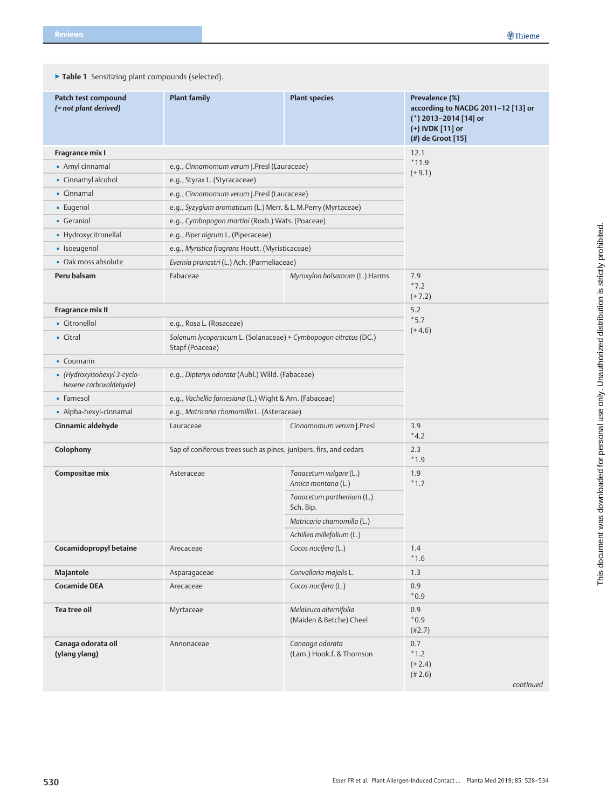▶ Table 1 Sensitizing plant compounds (selected).

| Patch test compound<br>(= not plant derived)          | <b>Plant family</b>                                                                 | <b>Plant species</b>                              | Prevalence (%)<br>according to NACDG 2011-12 [13] or<br>(*) 2013-2014 [14] or<br>(+) IVDK [11] or<br>(#) de Groot [15] |
|-------------------------------------------------------|-------------------------------------------------------------------------------------|---------------------------------------------------|------------------------------------------------------------------------------------------------------------------------|
| Fragrance mix I                                       |                                                                                     |                                                   | 12.1                                                                                                                   |
| • Amyl cinnamal                                       |                                                                                     | e.g., Cinnamomum verum [.Presl (Lauraceae)        |                                                                                                                        |
| • Cinnamyl alcohol                                    | e.g., Styrax L. (Styracaceae)                                                       |                                                   | $(+ 9.1)$                                                                                                              |
| • Cinnamal                                            | e.g., Cinnamomum verum   . Presl (Lauraceae)                                        |                                                   |                                                                                                                        |
| · Eugenol                                             | e.g., Syzygium aromaticum (L.) Merr. & L.M.Perry (Myrtaceae)                        |                                                   |                                                                                                                        |
| • Geraniol                                            | e.g., Cymbopogon martini (Roxb.) Wats. (Poaceae)                                    |                                                   |                                                                                                                        |
| • Hydroxycitronellal                                  | e.g., Piper nigrum L. (Piperaceae)                                                  |                                                   |                                                                                                                        |
| • Isoeugenol                                          | e.g., Myristica fragrans Houtt. (Myristicaceae)                                     |                                                   |                                                                                                                        |
| • Oak moss absolute                                   | Evernia prunastri (L.) Ach. (Parmeliaceae)                                          |                                                   |                                                                                                                        |
| Peru balsam                                           | Fabaceae                                                                            | Myroxylon balsamum (L.) Harms                     | 7.9<br>$*7.2$<br>$(+ 7.2)$                                                                                             |
| Fragrance mix II                                      |                                                                                     |                                                   | 5.2                                                                                                                    |
| • Citronellol                                         | e.g., Rosa L. (Rosaceae)                                                            |                                                   | $*5.7$                                                                                                                 |
| - Citral                                              | Solanum lycopersicum L. (Solanaceae) + Cymbopogon citratus (DC.)<br>Stapf (Poaceae) | $(+4.6)$                                          |                                                                                                                        |
| • Coumarin                                            |                                                                                     |                                                   |                                                                                                                        |
| - (Hydroxyisohexyl 3-cyclo-<br>hexene carboxaldehyde) | e.g., Dipteryx odorata (Aubl.) Willd. (Fabaceae)                                    |                                                   |                                                                                                                        |
| • Farnesol                                            | e.g., Vachellia farnesiana (L.) Wight & Arn. (Fabaceae)                             |                                                   |                                                                                                                        |
| • Alpha-hexyl-cinnamal                                | e.g., Matricaria chamomilla L. (Asteraceae)                                         |                                                   |                                                                                                                        |
| Cinnamic aldehyde                                     | Lauraceae                                                                           | Cinnamomum verum  .Presl                          | 3.9<br>$*4.2$                                                                                                          |
| Colophony                                             | Sap of coniferous trees such as pines, junipers, firs, and cedars                   |                                                   | 2.3<br>$*1.9$                                                                                                          |
| Compositae mix                                        | Asteraceae                                                                          | Tanacetum vulgare (L.)<br>Arnica montana (L.)     | 1.9<br>$*1.7$                                                                                                          |
|                                                       |                                                                                     | Tanacetum parthenium (L.)<br>Sch. Bip.            |                                                                                                                        |
|                                                       |                                                                                     | Matricaria chamomilla (L.)                        |                                                                                                                        |
|                                                       |                                                                                     | Achillea millefolium (L.)                         |                                                                                                                        |
| Cocamidopropyl betaine                                | Arecaceae                                                                           | Cocos nucifera (L.)                               | 1.4<br>$*1.6$                                                                                                          |
| <b>Majantole</b>                                      | Asparagaceae                                                                        | Convallaria majalis L.                            | 1.3                                                                                                                    |
| <b>Cocamide DEA</b>                                   | Arecaceae                                                                           | Cocos nucifera (L.)                               | 0.9<br>$*0.9$                                                                                                          |
| Tea tree oil                                          | Myrtaceae                                                                           | Melaleuca alternifolia<br>(Maiden & Betche) Cheel | 0.9<br>$*0.9$<br>$(\#2.7)$                                                                                             |
| Canaga odorata oil<br>(ylang ylang)                   | Annonaceae                                                                          | Cananga odorata<br>(Lam.) Hook.f. & Thomson       | 0.7<br>$*1.2$<br>$(+ 2.4)$<br>(# 2.6)<br>continued                                                                     |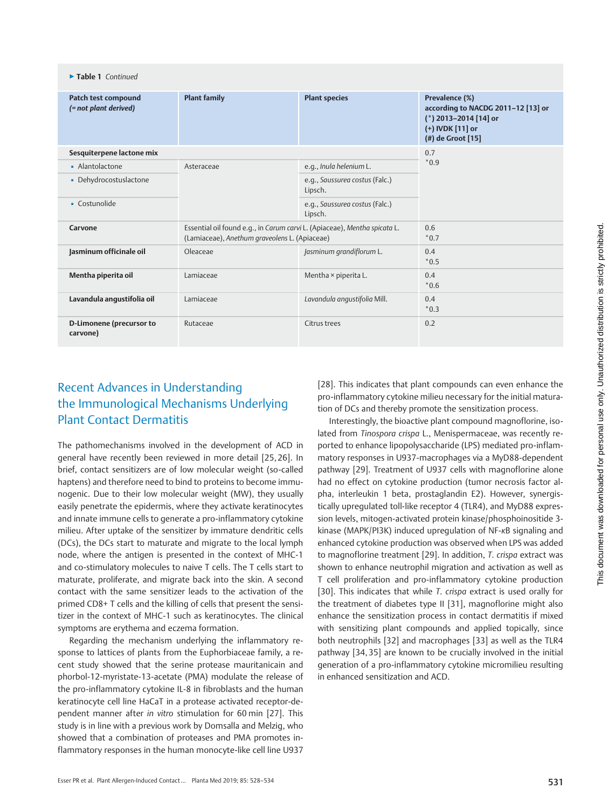| Patch test compound<br>(= not plant derived) | <b>Plant family</b>                                                                                                        | <b>Plant species</b>                      | Prevalence (%)<br>according to NACDG 2011-12 [13] or<br>(*) 2013-2014 [14] or<br>(+) IVDK [11] or<br>(#) de Groot [15] |
|----------------------------------------------|----------------------------------------------------------------------------------------------------------------------------|-------------------------------------------|------------------------------------------------------------------------------------------------------------------------|
| Sesquiterpene lactone mix                    | 0.7                                                                                                                        |                                           |                                                                                                                        |
| • Alantolactone                              | Asteraceae                                                                                                                 | e.g., Inula helenium L.                   | $*0.9$                                                                                                                 |
| • Dehydrocostuslactone                       |                                                                                                                            | e.g., Saussurea costus (Falc.)<br>Lipsch. |                                                                                                                        |
| • Costunolide                                |                                                                                                                            | e.g., Saussurea costus (Falc.)<br>Lipsch. |                                                                                                                        |
| Carvone                                      | Essential oil found e.g., in Carum carvi L. (Apiaceae), Mentha spicata L.<br>(Lamiaceae), Anethum graveolens L. (Apiaceae) |                                           | 0.6<br>$*0.7$                                                                                                          |
| Jasminum officinale oil                      | Oleaceae                                                                                                                   | Jasminum grandiflorum L.                  | 0.4<br>$*0.5$                                                                                                          |
| Mentha piperita oil                          | Lamiaceae                                                                                                                  | Mentha × piperita L.                      | 0.4<br>$*0.6$                                                                                                          |
| Lavandula angustifolia oil                   | Lamiaceae                                                                                                                  | Lavandula angustifolia Mill.              | 0.4<br>$*0.3$                                                                                                          |
| D-Limonene (precursor to<br>carvone)         | Rutaceae                                                                                                                   | Citrus trees                              | 0.2                                                                                                                    |

## Recent Advances in Understanding the Immunological Mechanisms Underlying Plant Contact Dermatitis

The pathomechanisms involved in the development of ACD in general have recently been reviewed in more detail [25, 26]. In brief, contact sensitizers are of low molecular weight (so-called haptens) and therefore need to bind to proteins to become immunogenic. Due to their low molecular weight (MW), they usually easily penetrate the epidermis, where they activate keratinocytes and innate immune cells to generate a pro-inflammatory cytokine milieu. After uptake of the sensitizer by immature dendritic cells (DCs), the DCs start to maturate and migrate to the local lymph node, where the antigen is presented in the context of MHC-1 and co-stimulatory molecules to naive T cells. The T cells start to maturate, proliferate, and migrate back into the skin. A second contact with the same sensitizer leads to the activation of the primed CD8+ T cells and the killing of cells that present the sensitizer in the context of MHC-1 such as keratinocytes. The clinical symptoms are erythema and eczema formation.

Regarding the mechanism underlying the inflammatory response to lattices of plants from the Euphorbiaceae family, a recent study showed that the serine protease mauritanicain and phorbol-12-myristate-13-acetate (PMA) modulate the release of the pro-inflammatory cytokine IL-8 in fibroblasts and the human keratinocyte cell line HaCaT in a protease activated receptor-dependent manner after in vitro stimulation for 60 min [27]. This study is in line with a previous work by Domsalla and Melzig, who showed that a combination of proteases and PMA promotes inflammatory responses in the human monocyte-like cell line U937

[28]. This indicates that plant compounds can even enhance the pro-inflammatory cytokine milieu necessary for the initial maturation of DCs and thereby promote the sensitization process.

Interestingly, the bioactive plant compound magnoflorine, isolated from Tinospora crispa L., Menispermaceae, was recently reported to enhance lipopolysaccharide (LPS) mediated pro-inflammatory responses in U937-macrophages via a MyD88-dependent pathway [29]. Treatment of U937 cells with magnoflorine alone had no effect on cytokine production (tumor necrosis factor alpha, interleukin 1 beta, prostaglandin E2). However, synergistically upregulated toll-like receptor 4 (TLR4), and MyD88 expression levels, mitogen-activated protein kinase/phosphoinositide 3 kinase (MAPK/PI3K) induced upregulation of NF-κB signaling and enhanced cytokine production was observed when LPS was added to magnoflorine treatment [29]. In addition, T. crispa extract was shown to enhance neutrophil migration and activation as well as T cell proliferation and pro-inflammatory cytokine production [30]. This indicates that while T. crispa extract is used orally for the treatment of diabetes type II [31], magnoflorine might also enhance the sensitization process in contact dermatitis if mixed with sensitizing plant compounds and applied topically, since both neutrophils [32] and macrophages [33] as well as the TLR4 pathway [34, 35] are known to be crucially involved in the initial generation of a pro-inflammatory cytokine micromilieu resulting in enhanced sensitization and ACD.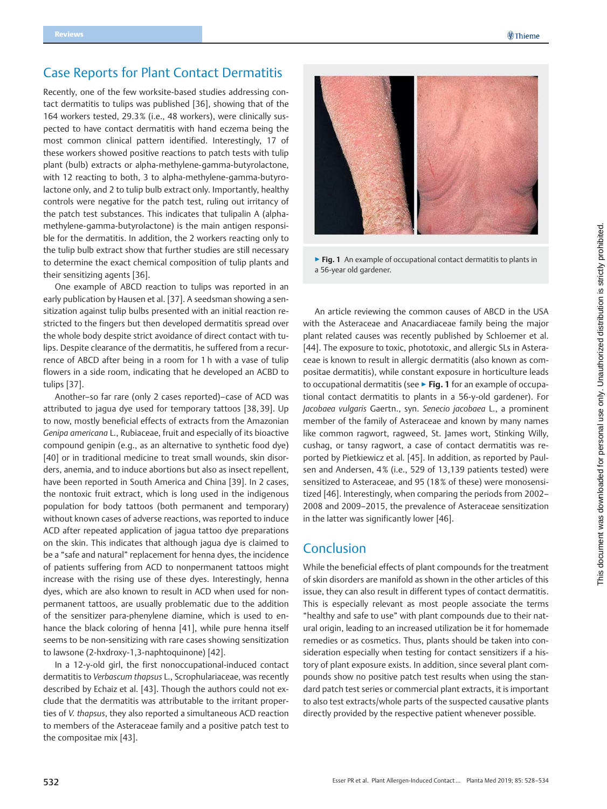## Case Reports for Plant Contact Dermatitis

Recently, one of the few worksite-based studies addressing contact dermatitis to tulips was published [36], showing that of the 164 workers tested, 29.3% (i.e., 48 workers), were clinically suspected to have contact dermatitis with hand eczema being the most common clinical pattern identified. Interestingly, 17 of these workers showed positive reactions to patch tests with tulip plant (bulb) extracts or alpha-methylene-gamma-butyrolactone, with 12 reacting to both, 3 to alpha-methylene-gamma-butyrolactone only, and 2 to tulip bulb extract only. Importantly, healthy controls were negative for the patch test, ruling out irritancy of the patch test substances. This indicates that tulipalin A (alphamethylene-gamma-butyrolactone) is the main antigen responsible for the dermatitis. In addition, the 2 workers reacting only to the tulip bulb extract show that further studies are still necessary to determine the exact chemical composition of tulip plants and their sensitizing agents [36].

One example of ABCD reaction to tulips was reported in an early publication by Hausen et al. [37]. A seedsman showing a sensitization against tulip bulbs presented with an initial reaction restricted to the fingers but then developed dermatitis spread over the whole body despite strict avoidance of direct contact with tulips. Despite clearance of the dermatitis, he suffered from a recurrence of ABCD after being in a room for 1 h with a vase of tulip flowers in a side room, indicating that he developed an ACBD to tulips [37].

Another–so far rare (only 2 cases reported)–case of ACD was attributed to jagua dye used for temporary tattoos [38, 39]. Up to now, mostly beneficial effects of extracts from the Amazonian Genipa americana L., Rubiaceae, fruit and especially of its bioactive compound genipin (e.g., as an alternative to synthetic food dye) [40] or in traditional medicine to treat small wounds, skin disorders, anemia, and to induce abortions but also as insect repellent, have been reported in South America and China [39]. In 2 cases, the nontoxic fruit extract, which is long used in the indigenous population for body tattoos (both permanent and temporary) without known cases of adverse reactions, was reported to induce ACD after repeated application of jagua tattoo dye preparations on the skin. This indicates that although jagua dye is claimed to be a "safe and natural" replacement for henna dyes, the incidence of patients suffering from ACD to nonpermanent tattoos might increase with the rising use of these dyes. Interestingly, henna dyes, which are also known to result in ACD when used for nonpermanent tattoos, are usually problematic due to the addition of the sensitizer para-phenylene diamine, which is used to enhance the black coloring of henna [41], while pure henna itself seems to be non-sensitizing with rare cases showing sensitization to lawsone (2-hxdroxy-1,3-naphtoquinone) [42].

In a 12-y-old girl, the first nonoccupational-induced contact dermatitis to Verbascum thapsus L., Scrophulariaceae, was recently described by Echaiz et al. [43]. Though the authors could not exclude that the dermatitis was attributable to the irritant properties of V. thapsus, they also reported a simultaneous ACD reaction to members of the Asteraceae family and a positive patch test to the compositae mix [43].



▶ Fig. 1 An example of occupational contact dermatitis to plants in a 56-year old gardener.

An article reviewing the common causes of ABCD in the USA with the Asteraceae and Anacardiaceae family being the major plant related causes was recently published by Schloemer et al. [44]. The exposure to toxic, phototoxic, and allergic SLs in Asteraceae is known to result in allergic dermatitis (also known as compositae dermatitis), while constant exposure in horticulture leads to occupational dermatitis (see  $\triangleright$  Fig. 1 for an example of occupational contact dermatitis to plants in a 56-y-old gardener). For Jacobaea vulgaris Gaertn., syn. Senecio jacobaea L., a prominent member of the family of Asteraceae and known by many names like common ragwort, ragweed, St. James wort, Stinking Willy, cushag, or tansy ragwort, a case of contact dermatitis was reported by Pietkiewicz et al. [45]. In addition, as reported by Paulsen and Andersen, 4% (i.e., 529 of 13,139 patients tested) were sensitized to Asteraceae, and 95 (18% of these) were monosensitized [46]. Interestingly, when comparing the periods from 2002– 2008 and 2009–2015, the prevalence of Asteraceae sensitization in the latter was significantly lower [46].

### **Conclusion**

While the beneficial effects of plant compounds for the treatment of skin disorders are manifold as shown in the other articles of this issue, they can also result in different types of contact dermatitis. This is especially relevant as most people associate the terms "healthy and safe to use" with plant compounds due to their natural origin, leading to an increased utilization be it for homemade remedies or as cosmetics. Thus, plants should be taken into consideration especially when testing for contact sensitizers if a history of plant exposure exists. In addition, since several plant compounds show no positive patch test results when using the standard patch test series or commercial plant extracts, it is important to also test extracts/whole parts of the suspected causative plants directly provided by the respective patient whenever possible.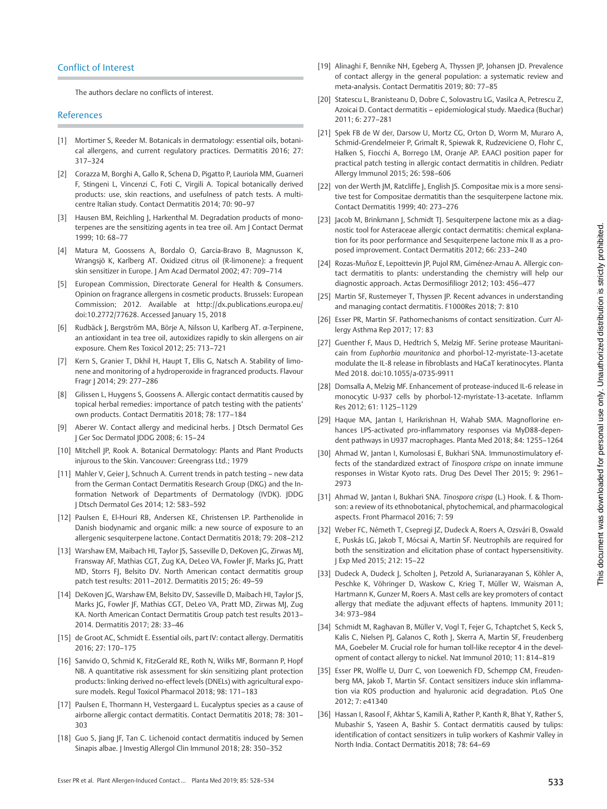### Conflict of Interest

The authors declare no conflicts of interest.

#### References

- [1] Mortimer S, Reeder M. Botanicals in dermatology: essential oils, botanical allergens, and current regulatory practices. Dermatitis 2016; 27: 317–324
- [2] Corazza M, Borghi A, Gallo R, Schena D, Pigatto P, Lauriola MM, Guarneri F, Stingeni L, Vincenzi C, Foti C, Virgili A. Topical botanically derived products: use, skin reactions, and usefulness of patch tests. A multicentre Italian study. Contact Dermatitis 2014; 70: 90–97
- [3] Hausen BM, Reichling J, Harkenthal M. Degradation products of monoterpenes are the sensitizing agents in tea tree oil. Am J Contact Dermat 1999; 10: 68–77
- [4] Matura M, Goossens A, Bordalo O, Garcia-Bravo B, Magnusson K, Wrangsjö K, Karlberg AT. Oxidized citrus oil (R-limonene): a frequent skin sensitizer in Europe. J Am Acad Dermatol 2002; 47: 709-714
- [5] European Commission, Directorate General for Health & Consumers. Opinion on fragrance allergens in cosmetic products. Brussels: European Commission; 2012. Available at http://dx.publications.europa.eu/ doi:10.2772/77628. Accessed January 15, 2018
- [6] Rudbäck J, Bergström MA, Börje A, Nilsson U, Karlberg AT. α-Terpinene, an antioxidant in tea tree oil, autoxidizes rapidly to skin allergens on air exposure. Chem Res Toxicol 2012; 25: 713–721
- [7] Kern S, Granier T, Dkhil H, Haupt T, Ellis G, Natsch A. Stability of limonene and monitoring of a hydroperoxide in fragranced products. Flavour Fragr J 2014; 29: 277–286
- [8] Gilissen L, Huygens S, Goossens A. Allergic contact dermatitis caused by topical herbal remedies: importance of patch testing with the patients' own products. Contact Dermatitis 2018; 78: 177–184
- [9] Aberer W. Contact allergy and medicinal herbs. J Dtsch Dermatol Ges J Ger Soc Dermatol JDDG 2008; 6: 15–24
- [10] Mitchell JP, Rook A. Botanical Dermatology: Plants and Plant Products injurous to the Skin. Vancouver: Greengrass Ltd.; 1979
- [11] Mahler V, Geier J, Schnuch A. Current trends in patch testing new data from the German Contact Dermatitis Research Group (DKG) and the Information Network of Departments of Dermatology (IVDK). JDDG J Dtsch Dermatol Ges 2014; 12: 583–592
- [12] Paulsen E, El-Houri RB, Andersen KE, Christensen LP. Parthenolide in Danish biodynamic and organic milk: a new source of exposure to an allergenic sesquiterpene lactone. Contact Dermatitis 2018; 79: 208–212
- [13] Warshaw EM, Maibach HI, Taylor JS, Sasseville D, DeKoven JG, Zirwas MJ, Fransway AF, Mathias CGT, Zug KA, DeLeo VA, Fowler JF, Marks JG, Pratt MD, Storrs FJ, Belsito DV. North American contact dermatitis group patch test results: 2011–2012. Dermatitis 2015; 26: 49–59
- [14] DeKoven JG, Warshaw EM, Belsito DV, Sasseville D, Maibach HI, Taylor JS, Marks JG, Fowler JF, Mathias CGT, DeLeo VA, Pratt MD, Zirwas MJ, Zug KA. North American Contact Dermatitis Group patch test results 2013– 2014. Dermatitis 2017; 28: 33–46
- [15] de Groot AC, Schmidt E. Essential oils, part IV: contact allergy. Dermatitis 2016; 27: 170–175
- [16] Sanvido O, Schmid K, FitzGerald RE, Roth N, Wilks MF, Bormann P, Hopf NB. A quantitative risk assessment for skin sensitizing plant protection products: linking derived no-effect levels (DNELs) with agricultural exposure models. Regul Toxicol Pharmacol 2018; 98: 171–183
- [17] Paulsen E, Thormann H, Vestergaard L. Eucalyptus species as a cause of airborne allergic contact dermatitis. Contact Dermatitis 2018; 78: 301– 303
- [18] Guo S, Jiang JF, Tan C. Lichenoid contact dermatitis induced by Semen Sinapis albae. J Investig Allergol Clin Immunol 2018; 28: 350–352
- [19] Alinaghi F, Bennike NH, Egeberg A, Thyssen JP, Johansen JD. Prevalence of contact allergy in the general population: a systematic review and meta-analysis. Contact Dermatitis 2019; 80: 77–85
- [20] Statescu L, Branisteanu D, Dobre C, Solovastru LG, Vasilca A, Petrescu Z, Azoicai D. Contact dermatitis – epidemiological study. Maedica (Buchar) 2011; 6: 277–281
- [21] Spek FB de W der, Darsow U, Mortz CG, Orton D, Worm M, Muraro A, Schmid-Grendelmeier P, Grimalt R, Spiewak R, Rudzeviciene O, Flohr C, Halken S, Fiocchi A, Borrego LM, Oranje AP. EAACI position paper for practical patch testing in allergic contact dermatitis in children. Pediatr Allergy Immunol 2015; 26: 598–606
- [22] von der Werth JM, Ratcliffe J, English JS. Compositae mix is a more sensitive test for Compositae dermatitis than the sesquiterpene lactone mix. Contact Dermatitis 1999; 40: 273–276
- [23] Jacob M, Brinkmann J, Schmidt TJ. Sesquiterpene lactone mix as a diagnostic tool for Asteraceae allergic contact dermatitis: chemical explanation for its poor performance and Sesquiterpene lactone mix II as a proposed improvement. Contact Dermatitis 2012; 66: 233–240
- [24] Rozas-Muñoz E, Lepoittevin JP, Pujol RM, Giménez-Arnau A. Allergic contact dermatitis to plants: understanding the chemistry will help our diagnostic approach. Actas Dermosifiliogr 2012; 103: 456–477
- [25] Martin SF, Rustemeyer T, Thyssen JP. Recent advances in understanding and managing contact dermatitis. F1000Res 2018; 7: 810
- [26] Esser PR, Martin SF. Pathomechanisms of contact sensitization. Curr Allergy Asthma Rep 2017; 17: 83
- [27] Guenther F, Maus D, Hedtrich S, Melzig MF. Serine protease Mauritanicain from Euphorbia mauritanica and phorbol-12-myristate-13-acetate modulate the IL‑8 release in fibroblasts and HaCaT keratinocytes. Planta Med 2018. doi:10.1055/a-0735-9911
- [28] Domsalla A, Melzig MF. Enhancement of protease-induced IL-6 release in monocytic U‑937 cells by phorbol-12-myristate-13-acetate. Inflamm Res 2012; 61: 1125–1129
- [29] Haque MA, Jantan I, Harikrishnan H, Wahab SMA. Magnoflorine enhances LPS-activated pro-inflammatory responses via MyD88-dependent pathways in U937 macrophages. Planta Med 2018; 84: 1255–1264
- [30] Ahmad W, Jantan I, Kumolosasi E, Bukhari SNA. Immunostimulatory effects of the standardized extract of Tinospora crispa on innate immune responses in Wistar Kyoto rats. Drug Des Devel Ther 2015; 9: 2961– 2973
- [31] Ahmad W, Jantan I, Bukhari SNA. Tinospora crispa (L.) Hook. f. & Thomson: a review of its ethnobotanical, phytochemical, and pharmacological aspects. Front Pharmacol 2016; 7: 59
- [32] Weber FC, Németh T, Csepregi JZ, Dudeck A, Roers A, Ozsvári B, Oswald E, Puskás LG, Jakob T, Mócsai A, Martin SF. Neutrophils are required for both the sensitization and elicitation phase of contact hypersensitivity. J Exp Med 2015; 212: 15–22
- [33] Dudeck A, Dudeck J, Scholten J, Petzold A, Surianarayanan S, Köhler A, Peschke K, Vöhringer D, Waskow C, Krieg T, Müller W, Waisman A, Hartmann K, Gunzer M, Roers A. Mast cells are key promoters of contact allergy that mediate the adjuvant effects of haptens. Immunity 2011; 34: 973–984
- [34] Schmidt M, Raghavan B, Müller V, Vogl T, Fejer G, Tchaptchet S, Keck S, Kalis C, Nielsen PJ, Galanos C, Roth J, Skerra A, Martin SF, Freudenberg MA, Goebeler M. Crucial role for human toll-like receptor 4 in the development of contact allergy to nickel. Nat Immunol 2010; 11: 814–819
- [35] Esser PR, Wolfle U, Durr C, von Loewenich FD, Schempp CM, Freudenberg MA, Jakob T, Martin SF. Contact sensitizers induce skin inflammation via ROS production and hyaluronic acid degradation. PLoS One 2012; 7: e41340
- [36] Hassan I, Rasool F, Akhtar S, Kamili A, Rather P, Kanth R, Bhat Y, Rather S, Mubashir S, Yaseen A, Bashir S. Contact dermatitis caused by tulips: identification of contact sensitizers in tulip workers of Kashmir Valley in North India. Contact Dermatitis 2018; 78: 64–69